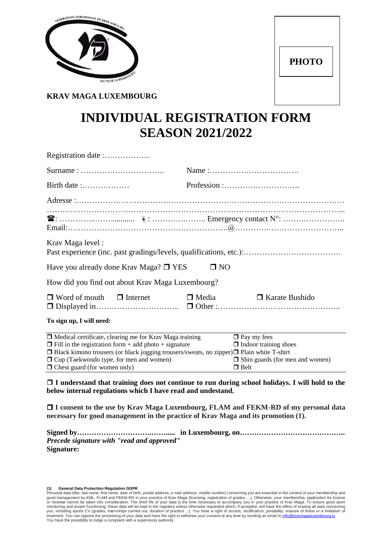

| <b>PHOTO</b> |  |
|--------------|--|
|              |  |

**KRAV MAGA LUXEMBOURG**

# **INDIVIDUAL REGISTRATION FORM SEASON 2021/2022**

| Birth date :                                                                                                                                                                                                                                                                              |                                                                                              |
|-------------------------------------------------------------------------------------------------------------------------------------------------------------------------------------------------------------------------------------------------------------------------------------------|----------------------------------------------------------------------------------------------|
|                                                                                                                                                                                                                                                                                           |                                                                                              |
|                                                                                                                                                                                                                                                                                           |                                                                                              |
| Krav Maga level:                                                                                                                                                                                                                                                                          |                                                                                              |
| Have you already done Krav Maga? $\square$ YES                                                                                                                                                                                                                                            | $\square$ NO                                                                                 |
| How did you find out about Krav Maga Luxembourg?                                                                                                                                                                                                                                          |                                                                                              |
| $\Box$ Word of mouth $\Box$ Internet                                                                                                                                                                                                                                                      | $\Box$ Media<br>$\Box$ Karate Bushido                                                        |
| To sign up, I will need:                                                                                                                                                                                                                                                                  |                                                                                              |
| $\Box$ Medical certificate, clearing me for Krav Maga training<br>$\Box$ Fill in the registration form + add photo + signature<br>$\Box$ Black kimono trousers (or black jogging trousers/sweats, no zipper) $\Box$ Plain white T-shirt<br>$\Box$ Cup (Taekwondo type, for men and women) | $\Box$ Pay my fees<br>$\Box$ Indoor training shoes<br>$\Box$ Shin guards (for men and women) |

#### **I understand that training does not continue to run during school holidays. I will hold to the below internal regulations which I have read and undestand.**

 $\Box$  Chest guard (for women only)  $\Box$  Belt

 **I consent to the use by Krav Maga Luxembourg, FLAM and FEKM-RD of my personal data necessary for good management in the practice of Krav Maga and its promotion (1).**

| Precede signature with "read and approved" |  |
|--------------------------------------------|--|
| Signature:                                 |  |

**<sup>(1)</sup> General Data Protection Régulation GDPR**<br>Personal data (title, last name, first name, date of birth, postal address, e-mail address, mobile number) concerning you are essential in the context of your membership and good management by KML, FLAM and FEKM-RD in your practice of Krav Maga (licensing, registration of grades, ...). Otherwise, your membership, application for license<br>or renewal cannot be taken into consideration. The shelf monitoring and proper functioning, these data will be kept in the registers unless otherwise requested which, if accepted, will have the effect of erasing all data concerning<br>you, including sports CV (grades, internships c You have the possibility to lodge a complaint with a supervisory authority.